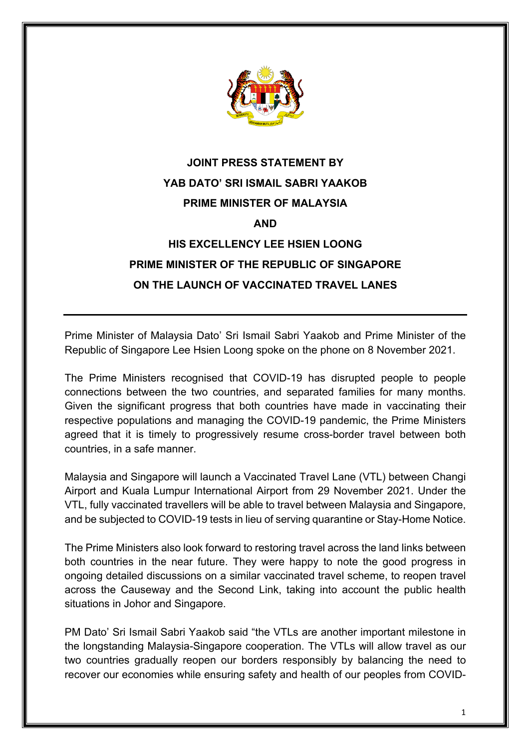

## **JOINT PRESS STATEMENT BY YAB DATO' SRI ISMAIL SABRI YAAKOB PRIME MINISTER OF MALAYSIA AND HIS EXCELLENCY LEE HSIEN LOONG PRIME MINISTER OF THE REPUBLIC OF SINGAPORE ON THE LAUNCH OF VACCINATED TRAVEL LANES**

Prime Minister of Malaysia Dato' Sri Ismail Sabri Yaakob and Prime Minister of the Republic of Singapore Lee Hsien Loong spoke on the phone on 8 November 2021.

The Prime Ministers recognised that COVID-19 has disrupted people to people connections between the two countries, and separated families for many months. Given the significant progress that both countries have made in vaccinating their respective populations and managing the COVID-19 pandemic, the Prime Ministers agreed that it is timely to progressively resume cross-border travel between both countries, in a safe manner.

Malaysia and Singapore will launch a Vaccinated Travel Lane (VTL) between Changi Airport and Kuala Lumpur International Airport from 29 November 2021. Under the VTL, fully vaccinated travellers will be able to travel between Malaysia and Singapore, and be subjected to COVID-19 tests in lieu of serving quarantine or Stay-Home Notice.

The Prime Ministers also look forward to restoring travel across the land links between both countries in the near future. They were happy to note the good progress in ongoing detailed discussions on a similar vaccinated travel scheme, to reopen travel across the Causeway and the Second Link, taking into account the public health situations in Johor and Singapore.

PM Dato' Sri Ismail Sabri Yaakob said "the VTLs are another important milestone in the longstanding Malaysia-Singapore cooperation. The VTLs will allow travel as our two countries gradually reopen our borders responsibly by balancing the need to recover our economies while ensuring safety and health of our peoples from COVID-